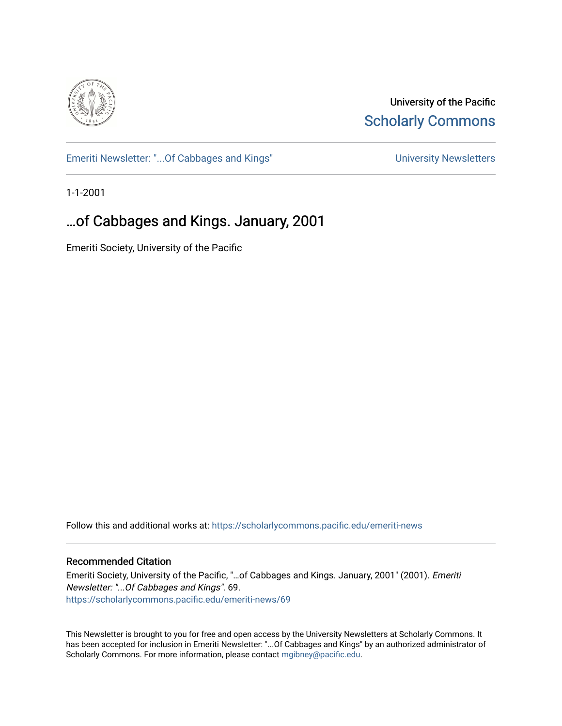

University of the Pacific **Scholarly Commons** 

[Emeriti Newsletter: "...Of Cabbages and Kings"](https://scholarlycommons.pacific.edu/emeriti-news) Newsletters University Newsletters

1-1-2001

### …of Cabbages and Kings. January, 2001

Emeriti Society, University of the Pacific

Follow this and additional works at: [https://scholarlycommons.pacific.edu/emeriti-news](https://scholarlycommons.pacific.edu/emeriti-news?utm_source=scholarlycommons.pacific.edu%2Femeriti-news%2F69&utm_medium=PDF&utm_campaign=PDFCoverPages)

#### Recommended Citation

Emeriti Society, University of the Pacific, "…of Cabbages and Kings. January, 2001" (2001). Emeriti Newsletter: "...Of Cabbages and Kings". 69. [https://scholarlycommons.pacific.edu/emeriti-news/69](https://scholarlycommons.pacific.edu/emeriti-news/69?utm_source=scholarlycommons.pacific.edu%2Femeriti-news%2F69&utm_medium=PDF&utm_campaign=PDFCoverPages) 

This Newsletter is brought to you for free and open access by the University Newsletters at Scholarly Commons. It has been accepted for inclusion in Emeriti Newsletter: "...Of Cabbages and Kings" by an authorized administrator of Scholarly Commons. For more information, please contact [mgibney@pacific.edu.](mailto:mgibney@pacific.edu)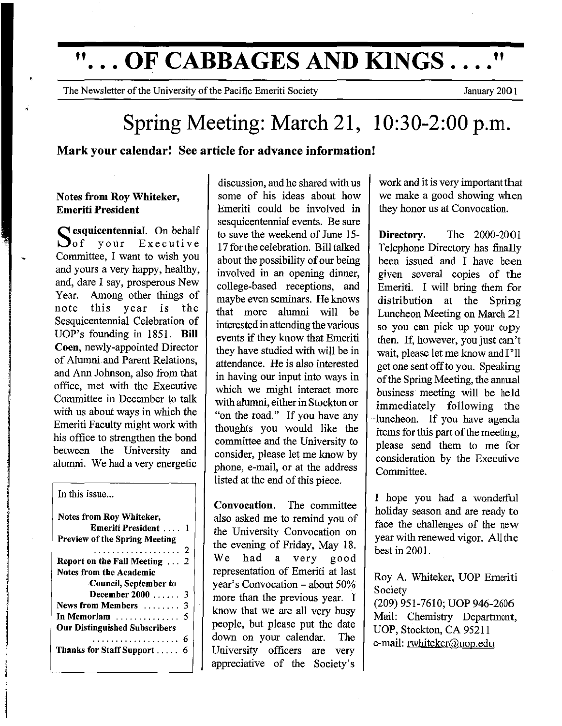# **"... OF CABBAGES AND KINGS...."**

The Newsletter of the University of the Pacific Emeriti Society **The Society** January 2001

## Spring Meeting: March 21, 10:30-2:00 p.m.

#### Mark your calendar! See article for advance information!

#### Notes from Roy Whiteker, Emeriti President

 $S_{\text{of}}$  squicentennial. On behalf your Executive Committee, I want to wish you and yours a very happy, healthy, and, dare I say, prosperous New Year. Among other things of note this year is the Sesquicentennial Celebration of UOP's founding in 1851. Bill Coen, newly-appointed Director of Alumni and Parent Relations, and Ann Johnson, also from that office, met with the Executive Committee in December to talk with us about ways in which the Emeriti Facuity might work with his office to strengthen the bond between the University and alumni. We had a very energetic

#### In this issue...

| Notes from Roy Whiteker,<br>Emeriti President  1<br><b>Preview of the Spring Meeting</b> |   |
|------------------------------------------------------------------------------------------|---|
| . 2                                                                                      |   |
| Report on the Fall Meeting $\dots$                                                       | 2 |
| <b>Notes from the Academic</b>                                                           |   |
| Council, September to                                                                    |   |
| December 2000 3                                                                          |   |
| News from Members                                                                        | 3 |
| In Memoriam                                                                              | 5 |
| <b>Our Distinguished Subscribers</b>                                                     |   |
| .                                                                                        | 6 |
| Thanks for Staff Support                                                                 |   |

discussion, and he shared with us some of his ideas about how Emeriti could be involved in sesquicentennial events. Be sure to save the weekend of June 15- 17 for the celebration. Bill talked about the possibility of our being involved in an opening dinner, college-based receptions, and maybe even seminars. He knows that more alumni will be interested in attending the various events if they know that Emeriti they have studied with will be in attendance. He is also interested in having our input into ways in which we might interact more with alumni, either in Stockton or "on the road." If you have any thoughts you would like the committee and the University to consider, please let me know by phone, e-mail, or at the address listed at the end of this piece.

Convocation. The committee also asked me to remind you of the University Convocation on the evening of Friday, May 18. We had a very good representation of Emeriti at last year's Convocation- about 50% more than the previous year. I know that we are all very busy people, but please put the date down on your calendar. The University officers are very appreciative of the Society's

work and it is very important that we make a good showing when they honor us at Convocation.

Directory. The 2000-2001 Telephone Directory has finally been issued and I have been given several copies of the Emeriti. I will bring them for distribution at the Spring Luncheon Meeting on March 21 so you can pick up your copy then. If, however, you just can't wait, please let me know and I'll get one sent off to you. Speaking of the Spring Meeting, the annual business meeting will be held immediately following the luncheon. If you have agenda items for this part of the meeting, please send them to me for consideration by the Executive Committee.

I hope you had a wonderful holiday season and are ready to face the challenges of the new year with renewed vigor. All the best in 2001.

Roy A. Whiteker, UOP Emeriti Society (209) 951-7610; UOP 946-2606 Mail: Chemistry Department, UOP, Stockton, CA 95211 e-mail: rwhiteker@uop.edu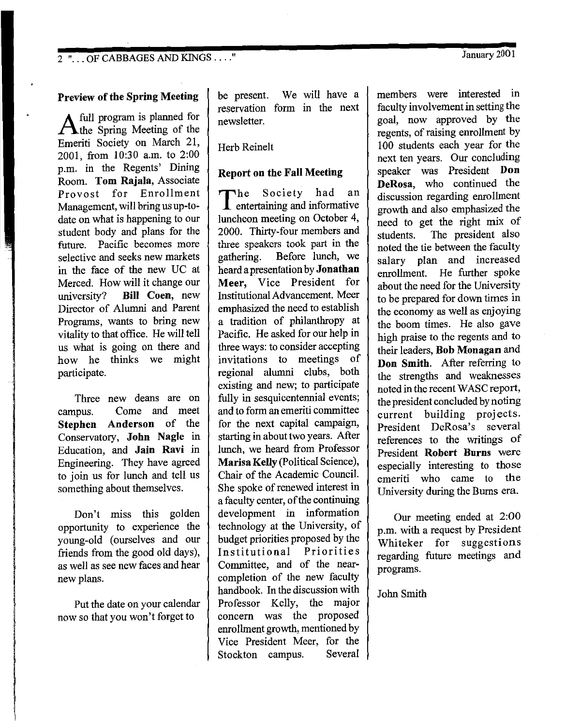2 " ... OF CABBAGES AND KINGS ...."

#### **Preview of the Spring Meeting**

A full program is planned for<br>the Spring Meeting of the Emeriti Society on March 21, 2001 from 10:30 a.m. to 2:00 p.m.' in the Regents' Dining Room. **Tom Rajala,** Associate Provost for Enrollment Management, will bring us up-todate on what is happening to our student body and plans for the future. Pacific becomes more selective and seeks new markets in the face of the new UC at Merced. How will it change our university? **Bill Coen,** new Director of Alumni and Parent Programs, wants to bring new vitality to that office. He will tell us what is going on there and how he thinks we might participate.

Three new deans are on campus. Come and meet **Stephen Anderson** of the Conservatory, **John Nagle** in Education, and **Jain Ravi** in Engineering. They have agreed to join us for lunch and tell us something about themselves.

Don't miss this golden opportunity to experience the young-old (ourselves and our friends from the good old days), as well as see new faces and hear new plans.

Put the date on your calendar now so that you won't forget to

be present. We will have a reservation form in the next newsletter.

Herb Reinelt

#### **Report on the Fall Meeting**

The Society had an entertaining and informative luncheon meeting on October 4, 2000. Thirty-four members and three speakers took part in the gathering. Before lunch, we heard a presentation by **Jonathan Meer,** Vice President for Institutional Advancement. Meer emphasized the need to establish a tradition of philanthropy at Pacific. He asked for our help in three ways: to consider accepting invitations to meetings of regional alumni clubs, both existing and new; to participate fully in sesquicentennial events; and to form an emeriti committee for the next capital campaign, starting in about two years. After lunch, we heard from Professor **Maris a Kelly** (Political Science), Chair of the Academic Council. She spoke of renewed interest in a faculty center, of the continuing development in information technology at the University, of budget priorities proposed by the Institutional Priorities Committee, and of the nearcompletion of the new faculty handbook. In the discussion with Professor Kelly, the major concern was the proposed enrollment growth, mentioned by Vice President Meer, for the Stockton campus. Several members were interested in faculty involvement in setting the goal, now approved by the regents, of raising enrollment by 100 students each year for the next ten years. Our concluding speaker was President **Don DeRosa,** who continued the discussion regarding enrollment growth and also emphasized the need to get the right mix of students. The president also noted the tie between the faculty salary plan and increased enrollment. He further spoke about the need for the University to be prepared for down times in the economy as well as enjoying the boom times. He also gave high praise to the regents and to their leaders, **Bob Monagan** and **Don Smith.** After referring to the strengths and weaknesses noted in the recent WASC report, the president concluded by noting current building projects. President DeRosa's several references to the writings of President **Robert Burns** were especially interesting to those emeriti who came to the University during the Burns era.

Our meeting ended at 2:00 p.m. with a request by President Whiteker for suggestions regarding future meetings and programs.

John Smith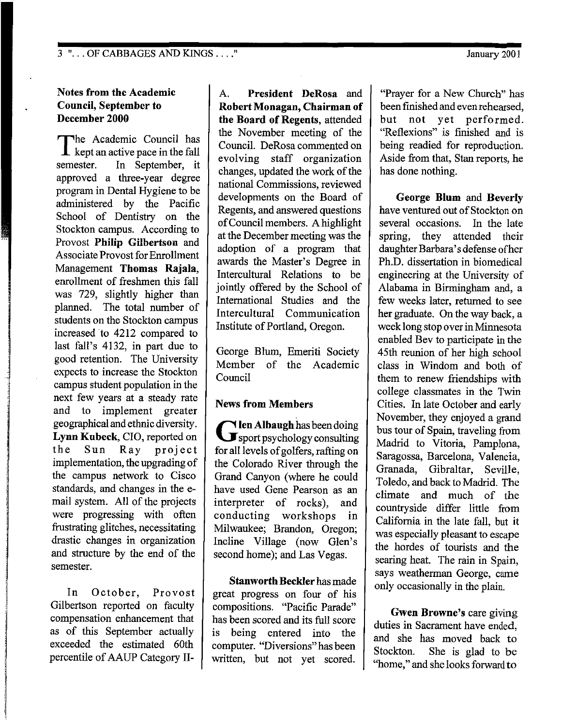#### Notes from the Academic Council, September to December 2000

The Academic Council has<br>
kept an active pace in the fall semester. In September, it approved a three-year degree program in Dental Hygiene to be administered by the Pacific School of Dentistry on the Stockton campus. According to Provost Philip Gilbertson and Associate Provost for Enrollment Management Thomas Rajala, enrollment of freshmen this fall was 729, slightly higher than planned. The total number of students on the Stockton campus increased to 4212 compared to last fall's 4132, in part due to good retention. The University expects to increase the Stockton campus student population in the next few years at a steady rate and to implement greater geographical and ethnic diversity. Lynn Kubeck, CIO, reported on the Sun Ray project implementation, the upgrading of the campus network to Cisco standards, and changes in the email system. All of the projects were progressing with often frustrating glitches, necessitating drastic changes in organization and structure by the end of the semester.

In October, Provost Gilbertson reported on faculty compensation enhancement that as of this September actually exceeded the estimated 60th percentile of AAUP Category II-

A. President DeRosa and Robert Monagan, Chairman of the Board of Regents, attended the November meeting of the Council. DeRosa commented on evolving staff organization changes, updated the work of the national Commissions, reviewed developments on the Board of Regents, and answered questions of Council members. A highlight at the December meeting was the adoption of a program that awards the Master's Degree in Intercultural Relations to be jointly offered by the School of International Studies and the Intercultural Communication Institute of Portland, Oregon.

George Blum, Emeriti Society Member of the Academic Council

#### News from Members

Glen Albaugh has been doing<br>
sport psychology consulting for all levels of golfers, rafting on the Colorado River through the Grand Canyon (where he could have used Gene Pearson as an interpreter of rocks), and conducting workshops in Milwaukee; Brandon, Oregon; Incline Village (now Glen's second home); and Las Vegas.

Stanworth Beckler has made great progress on four of his compositions. "Pacific Parade" has been scored and its full score is being entered into the computer. "Diversions" has been written, but not yet scored.

"Prayer for a New Church" has been finished and even rehearsed, but not yet performed. "Reflexions" is finished and is being readied for reproduction. Aside from that, Stan reports, he has done nothing.

George **Blum** and Beverly have ventured out of Stockton on several occasions. In the late spring, they attended their daughter Barbara's defense ofher Ph.D. dissertation in biomedical engineering at the University of Alabama in Birmingham and, a few weeks later, returned to see her graduate. On the way back, a week long stop over in Minnesota enabled Bev to participate in the 45th reunion of her high school class in Windom and both of them to renew friendships with college classmates in the Twin Cities. In late October and early November, they enjoyed a grand bus tour of Spain, traveling from Madrid to Vitoria, Pamplona, Saragossa, Barcelona, Valencia, Granada, Gibraltar, Seville, Toledo, and back to Madrid. The climate and much of the countryside differ little from California in the late fall, but it was especially pleasant to escape the hordes of tourists and the searing heat. The rain in Spain, says weatherman George, came only occasionally in the plain.

Gwen Browne's care giving duties in Sacrament have ended, and she has moved back to Stockton. She is glad to be "home," and she looks forward to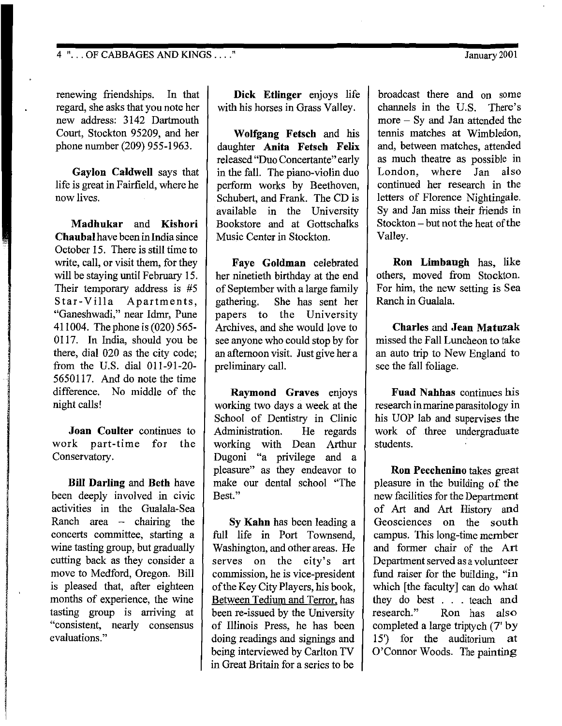4 " ... OF CABBAGES AND KINGS .... "

January 2001

renewing friendships. In that regard, she asks that you note her new address: 3142 Dartmouth Court, Stockton 95209, and her phone number (209) 955-1963.

**Gaylon Caldwell** says that life is great in Fairfield, where he now lives.

**Madhukar and Kishori Chaubal** have been in India since October 15. There is still time to write, call, or visit them, for they will be staying until February 15. Their temporary address is #5 Star-Villa Apartments, "Ganeshwadi," near Idmr, Pune 411004. The phone is (020) 565- 0117. In India, should you be there, dial 020 as the city code; from the U.S. dial 011-91-20- 5650117. And do note the time difference. No middle of the night calls!

**Joan Coulter** continues to work part-time for the Conservatory.

**Bill Darling and Beth** have been deeply involved in civic activities in the Gualala-Sea Ranch area  $-$  chairing the concerts committee, starting a wine tasting group, but gradually cutting back as they consider a move to Medford, Oregon. Bill is pleased that, after eighteen months of experience, the wine tasting group is arriving at "consistent, nearly consensus evaluations."

**Dick Etlinger** enjoys life with his horses in Grass Valley.

**Wolfgang Fetsch** and his daughter **Anita Fetsch Felix**  released "Duo Concertante" early in the fall. The piano-violin duo perform works by Beethoven, Schubert, and Frank. The CD is available in the University Bookstore and at Gottschalks Music Center in Stockton.

**Faye Goldman** celebrated her ninetieth birthday at the end of September with a large family gathering. She has sent her papers to the University Archives, and she would love to see anyone who could stop by for an afternoon visit. Just give her a preliminary call.

**Raymond Graves** enjoys working two days a week at the School of Dentistry in Clinic Administration. He regards working with Dean Arthur Dugoni "a privilege and a pleasure" as they endeavor to make our dental school "The Best."

**Sy Kahn** has been leading a full life in Port Townsend, Washington, and other areas. He serves on the city's art commission, he is vice-president of the Key City Players, his book, Between Tedium and Terror. has been re-issued by the University of Illinois Press, he has been doing readings and signings and being interviewed by Carlton TV in Great Britain for a series to be

broadcast there and on some channels in the U.S. There's more - Sy and Jan attended the tennis matches at Wimbledon, and, between matches, attended as much theatre as possible in London, where Jan also continued her research in the letters of Florence Nightingale. Sy and Jan miss their friends in Stockton- but not the heat of the Valley.

**Ron Limbaugh** has, like others, moved from Stockton. For him, the new setting is Sea Ranch in Gualala.

**Charles and Jean Matuzak**  missed the Fall Luncheon to take an auto trip to New England to see the fall foliage.

**Fuad Nahhas** continues his research in marine parasitology in his UOP lab and supervises the work of three undergraduate students.

**Ron Pecchenino** takes great pleasure in the building of the new facilities for the Department of Art and Art History and Geosciences on the south campus. This long-time member and former chair of the Art Department served as a volunteer fund raiser for the building, "in which [the faculty] can do what they do best . . . teach and research." Ron has also completed a large triptych (7' by 15') for the auditorium at O'Connor Woods. The painting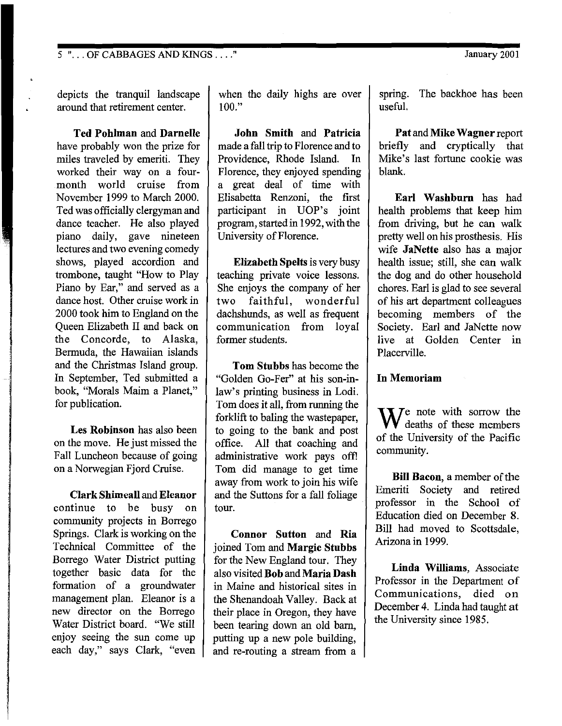5 " ... OF CABBAGES AND KINGS .... "

depicts the tranquil landscape around that retirement center.

**Ted Pohlman and Darnelle**  have probably won the prize for miles traveled by emeriti. They worked their way on a fourmonth world cruise from November 1999 to March 2000. Ted was officially clergyman and dance teacher. He also played piano daily, gave nineteen lectures and two evening comedy shows, played accordion and trombone, taught "How to Play Piano by Ear," and served as a dance host. Other cruise work in 2000 took him to England on the Queen Elizabeth II and back on the Concorde, to Alaska, Bermuda, the Hawaiian islands and the Christmas Island group. In September, Ted submitted a book, "Morals Maim a Planet," for publication.

**Les Robinson** has also been on the move. He just missed the Fall Luncheon because of going on a Norwegian Fjord Cruise.

**Clark Shimeall** and **Eleanor**  continue to be busy on community projects in Borrego Springs. Clark is working on the Technical Committee of the Borrego Water District putting together basic data for the formation of a groundwater management plan. Eleanor is a new director on the Borrego Water District board. "We still enjoy seeing the sun come up each day," says Clark, "even

when the daily highs are over  $100."$ 

**John Smith and Patricia**  made a fall trip to Florence and to Providence, Rhode Island. In Florence, they enjoyed spending a great deal of time with Elisabetta Renzoni, the first participant in UOP's joint program, started in 1992, with the University of Florence.

**Elizabeth Spelts** is very busy teaching private voice lessons. She enjoys the company of her<br>two faithful, wonderful two faithful, dachshunds, as well as frequent communication from loyal former students.

**Tom Stubbs** has become the "Golden Go-Fer" at his son-inlaw's printing business in Lodi. Tom does it all, from running the forklift to baling the wastepaper, to going to the bank and post office. All that coaching and administrative work pays offi Tom did manage to get time away from work to join his wife and the Suttons for a fall foliage tour.

**Connor Sutton and Ria**  joined Tom and **Margie Stubbs**  for the New England tour. They also visited **Bob and Maria Dash**  in Maine and historical sites in the Shenandoah Valley. Back at their place in Oregon, they have been tearing down an old barn, putting up a new pole building, and re-routing a stream from a

spring. The backhoe has been useful.

**Pat and Mike Wagner** report briefly and cryptically that Mike's last fortune cookie was blank.

**Earl Washburn** has had health problems that keep him from driving, but he can walk pretty well on his prosthesis. His wife **JaNette** also has a major health issue; still, she can walk the dog and do other household chores. Earl is glad to see several of his art department colleagues becoming members of the Society. Earl and JaNette now live at Golden Center in Placerville.

#### **In Memoriam**

 $\mathbf{W}$ <sup>e</sup> note with sorrow the deaths of these members of the University of the Pacific community.

**Bill Bacon,** a member of the Emeriti Society and retired professor in the School of Education died on December 8. Bill had moved to Scottsdale, Arizona in 1999.

**Linda Williams,** Associate Professor in the Department of Communications, died on December 4. Linda had taught at the University since 1985.